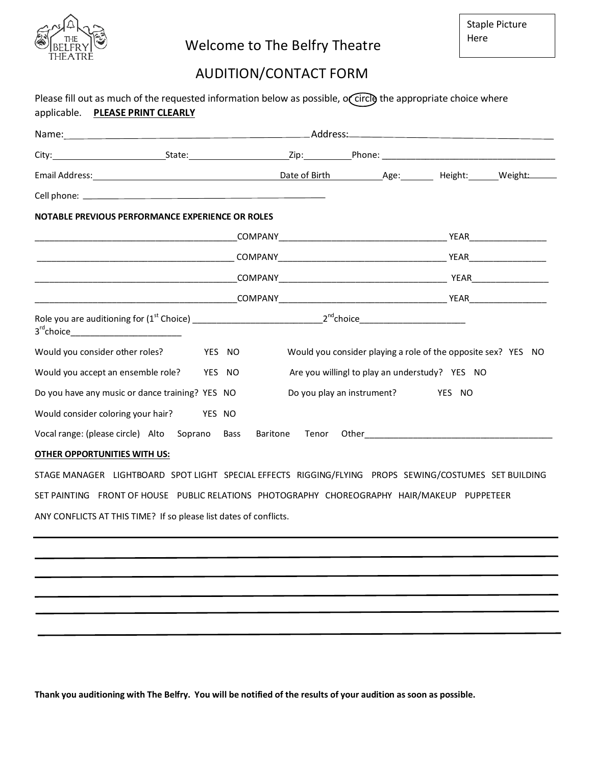

## Welcome to The Belfry Theatre

## AUDITION/CONTACT FORM

| Please fill out as much of the requested information below as possible, occircle the appropriate choice where<br>applicable. PLEASE PRINT CLEARLY                                                                              |        |  |                                                |                                                               |
|--------------------------------------------------------------------------------------------------------------------------------------------------------------------------------------------------------------------------------|--------|--|------------------------------------------------|---------------------------------------------------------------|
|                                                                                                                                                                                                                                |        |  |                                                |                                                               |
|                                                                                                                                                                                                                                |        |  |                                                |                                                               |
| Email Address: Neight: Neight: Neight: Neight: Neight: Neight: Neight: Neight: Neight: Neight: Neight: Neight: Neight: Neight: Neight: Neight: Neight: Neight: Neight: Neight: Neight: Neight: Neight: Neight: Neight: Neight: |        |  |                                                |                                                               |
|                                                                                                                                                                                                                                |        |  |                                                |                                                               |
| NOTABLE PREVIOUS PERFORMANCE EXPERIENCE OR ROLES                                                                                                                                                                               |        |  |                                                |                                                               |
|                                                                                                                                                                                                                                |        |  |                                                |                                                               |
|                                                                                                                                                                                                                                |        |  |                                                |                                                               |
|                                                                                                                                                                                                                                |        |  |                                                |                                                               |
|                                                                                                                                                                                                                                |        |  |                                                |                                                               |
| 3 <sup>rd</sup> choice___________________________                                                                                                                                                                              |        |  |                                                |                                                               |
| Would you consider other roles?                                                                                                                                                                                                | YES NO |  |                                                | Would you consider playing a role of the opposite sex? YES NO |
| Would you accept an ensemble role? YES NO                                                                                                                                                                                      |        |  | Are you willingl to play an understudy? YES NO |                                                               |
| Do you have any music or dance training? YES NO                                                                                                                                                                                |        |  | Do you play an instrument?                     | YES NO                                                        |
| Would consider coloring your hair? YES NO                                                                                                                                                                                      |        |  |                                                |                                                               |
| Vocal range: (please circle) Alto Soprano Bass Baritone Tenor Other Communication of the Communication of the                                                                                                                  |        |  |                                                |                                                               |
| <b>OTHER OPPORTUNITIES WITH US:</b>                                                                                                                                                                                            |        |  |                                                |                                                               |
| STAGE MANAGER LIGHTBOARD SPOT LIGHT SPECIAL EFFECTS RIGGING/FLYING PROPS SEWING/COSTUMES SET BUILDING                                                                                                                          |        |  |                                                |                                                               |
| SET PAINTING FRONT OF HOUSE PUBLIC RELATIONS PHOTOGRAPHY CHOREOGRAPHY HAIR/MAKEUP PUPPETEER                                                                                                                                    |        |  |                                                |                                                               |
| ANY CONFLICTS AT THIS TIME? If so please list dates of conflicts.                                                                                                                                                              |        |  |                                                |                                                               |

**Thank you auditioning with The Belfry. You will be notified of the results of your audition as soon as possible.**